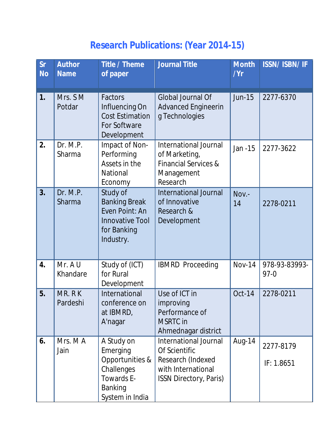## **Research Publications: (Year 2014-15)**

| <b>Sr</b><br><b>No</b> | Author<br><b>Name</b> | Title / Theme<br>of paper                                                                                  | <b>Journal Title</b>                                                                                               | <b>Month</b><br>/Yr | <b>ISSN/ISBN/IF</b>       |
|------------------------|-----------------------|------------------------------------------------------------------------------------------------------------|--------------------------------------------------------------------------------------------------------------------|---------------------|---------------------------|
| 1.                     | Mrs. SM<br>Potdar     | Factors<br>Influencing On<br><b>Cost Estimation</b><br>For Software<br>Development                         | Global Journal Of<br><b>Advanced Engineerin</b><br>g Technologies                                                  | <b>Jun-15</b>       | 2277-6370                 |
| 2.                     | Dr. M.P.<br>Sharma    | Impact of Non-<br>Performing<br>Assets in the<br>National<br>Economy                                       | International Journal<br>of Marketing,<br><b>Financial Services &amp;</b><br>Management<br>Research                | Jan -15             | 2277-3622                 |
| 3.                     | Dr. M.P.<br>Sharma    | Study of<br><b>Banking Break</b><br>Even Point: An<br><b>Innovative Tool</b><br>for Banking<br>Industry.   | <b>International Journal</b><br>of Innovative<br>Research &<br>Development                                         | Nov.-<br>14         | 2278-0211                 |
| 4.                     | Mr. A U<br>Khandare   | Study of (ICT)<br>for Rural<br>Development                                                                 | <b>IBMRD Proceeding</b>                                                                                            | <b>Nov-14</b>       | 978-93-83993-<br>$97 - 0$ |
| 5.                     | MR. RK<br>Pardeshi    | International<br>conference on<br>at IBMRD,<br>A'nagar                                                     | Use of ICT in<br>improving<br>Performance of<br><b>MSRTC</b> in<br>Ahmednagar district                             | <b>Oct-14</b>       | 2278-0211                 |
| 6.                     | Mrs. MA<br>Jain       | A Study on<br>Emerging<br>Opportunities &<br>Challenges<br>Towards E-<br><b>Banking</b><br>System in India | International Journal<br>Of Scientific<br>Research (Indexed<br>with International<br><b>ISSN Directory, Paris)</b> | Aug-14              | 2277-8179<br>IF: 1.8651   |